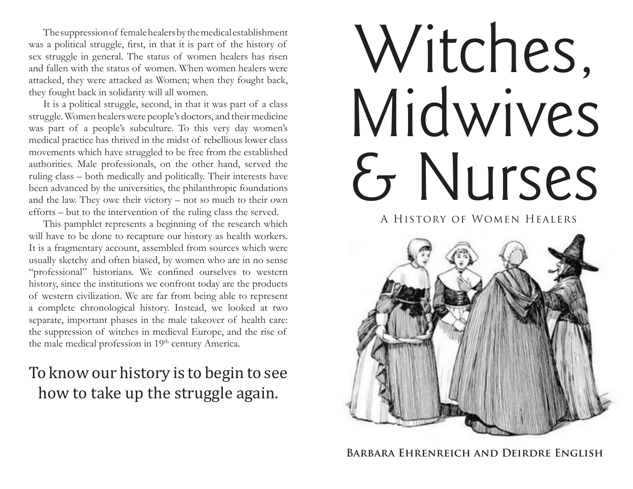The suppression of female healers by the medical establishment was a political struggle, first, in that it is part of the history of sex struggle in general. The status of women healers has risen and fallen with the status of women. When women healers were attacked, they were attacked as Women; when they fought back, they fought back in solidarity will all women.

It is a political struggle, second, in that it was part of a class struggle. Women healers were people's doctors, and their medicine was part of a people's subculture. To this very day women's medical practice has thrived in the midst of rebellious lower class movements which have struggled to be free from the established authorities. Male professionals, on the other hand, served the ruling class – both medically and politically. Their interests have been advanced by the universities, the philanthropic foundations and the law. They owe their victory – not so much to their own efforts – but to the intervention of the ruling class the served.

This pamphlet represents a beginning of the research which will have to be done to recapture our history as health workers. It is a fragmentary account, assembled from sources which were usually sketchy and often biased, by women who are in no sense "professional" historians. We confined ourselves to western history, since the institutions we confront today are the products of western civilization. We are far from being able to represent a complete chronological history. Instead, we looked at two separate, important phases in the male takeover of health care: the suppression of witches in medieval Europe, and the rise of the male medical profession in 19<sup>th</sup> century America.

# To know our history is to begin to see how to take up the struggle again.

# Witches, Midwives & Nurses

A History of Women Healers



**Barbara Ehrenreich and Deirdre English**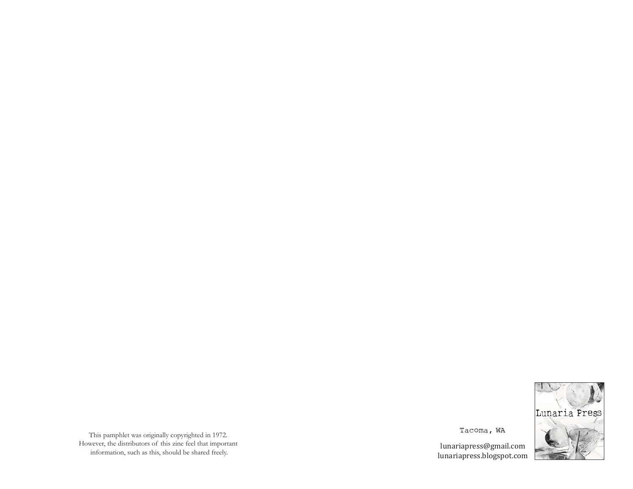

Tacoma, WA

lunariapress@gmail.com lunariapress.blogspot.com

This pamphlet was originally copyrighted in 1972. However, the distributors of this zine feel that important information, such as this, should be shared freely.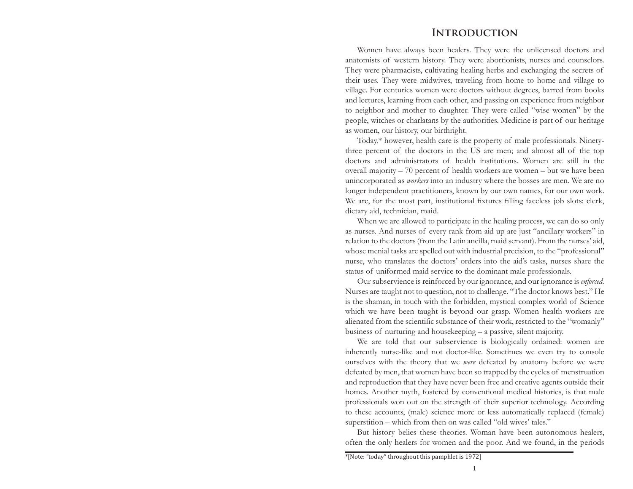### **Introduction**

Women have always been healers. They were the unlicensed doctors and anatomists of western history. They were abortionists, nurses and counselors. They were pharmacists, cultivating healing herbs and exchanging the secrets of their uses. They were midwives, traveling from home to home and village to village. For centuries women were doctors without degrees, barred from books and lectures, learning from each other, and passing on experience from neighbor to neighbor and mother to daughter. They were called "wise women" by the people, witches or charlatans by the authorities. Medicine is part of our heritage as women, our history, our birthright.

Today,\* however, health care is the property of male professionals. Ninetythree percent of the doctors in the US are men; and almost all of the top doctors and administrators of health institutions. Women are still in the overall majority – 70 percent of health workers are women – but we have been unincorporated as *workers* into an industry where the bosses are men. We are no longer independent practitioners, known by our own names, for our own work. We are, for the most part, institutional fixtures filling faceless job slots: clerk, dietary aid, technician, maid.

When we are allowed to participate in the healing process, we can do so only as nurses. And nurses of every rank from aid up are just "ancillary workers" in relation to the doctors (from the Latin ancilla, maid servant). From the nurses' aid, whose menial tasks are spelled out with industrial precision, to the "professional" nurse, who translates the doctors' orders into the aid's tasks, nurses share the status of uniformed maid service to the dominant male professionals.

Our subservience is reinforced by our ignorance, and our ignorance is *enforced*. Nurses are taught not to question, not to challenge. "The doctor knows best." He is the shaman, in touch with the forbidden, mystical complex world of Science which we have been taught is beyond our grasp. Women health workers are alienated from the scientific substance of their work, restricted to the "womanly" business of nurturing and housekeeping – a passive, silent majority.

We are told that our subservience is biologically ordained: women are inherently nurse-like and not doctor-like. Sometimes we even try to console ourselves with the theory that we *were* defeated by anatomy before we were defeated by men, that women have been so trapped by the cycles of menstruation and reproduction that they have never been free and creative agents outside their homes. Another myth, fostered by conventional medical histories, is that male professionals won out on the strength of their superior technology. According to these accounts, (male) science more or less automatically replaced (female) superstition – which from then on was called "old wives' tales."

But history belies these theories. Woman have been autonomous healers, often the only healers for women and the poor. And we found, in the periods

<sup>\*[</sup>Note: "today" throughout this pamphlet is 1972]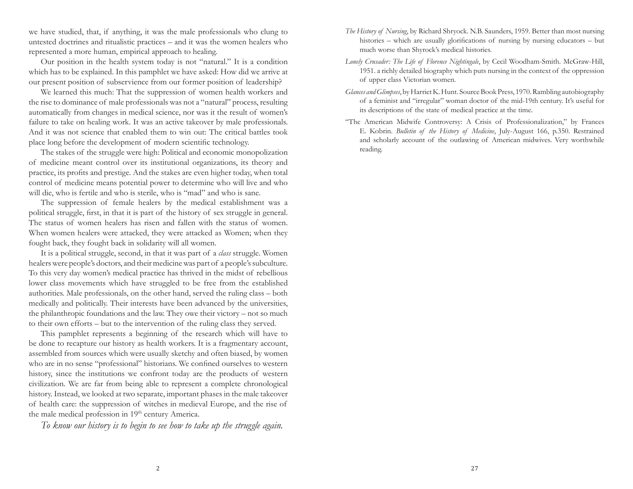we have studied, that, if anything, it was the male professionals who clung to untested doctrines and ritualistic practices – and it was the women healers who represented a more human, empirical approach to healing.

Our position in the health system today is not "natural." It is a condition which has to be explained. In this pamphlet we have asked: How did we arrive at our present position of subservience from our former position of leadership?

We learned this much: That the suppression of women health workers and the rise to dominance of male professionals was not a "natural" process, resulting automatically from changes in medical science, nor was it the result of women's failure to take on healing work. It was an active takeover by male professionals. And it was not science that enabled them to win out: The critical battles took place long before the development of modern scientific technology.

The stakes of the struggle were high: Political and economic monopolization of medicine meant control over its institutional organizations, its theory and practice, its profits and prestige. And the stakes are even higher today, when total control of medicine means potential power to determine who will live and who will die, who is fertile and who is sterile, who is "mad" and who is sane.

The suppression of female healers by the medical establishment was a political struggle, first, in that it is part of the history of sex struggle in general. The status of women healers has risen and fallen with the status of women. When women healers were attacked, they were attacked as Women; when they fought back, they fought back in solidarity will all women.

It is a political struggle, second, in that it was part of <sup>a</sup> *class* struggle. Women healers were people's doctors, and their medicine was part of a people's subculture. To this very day women's medical practice has thrived in the midst of rebellious lower class movements which have struggled to be free from the established authorities. Male professionals, on the other hand, served the ruling class – both medically and politically. Their interests have been advanced by the universities, the philanthropic foundations and the law. They owe their victory – not so much to their own efforts – but to the intervention of the ruling class they served.

This pamphlet represents a beginning of the research which will have to be done to recapture our history as health workers. It is a fragmentary account, assembled from sources which were usually sketchy and often biased, by women who are in no sense "professional" historians. We confined ourselves to western history, since the institutions we confront today are the products of western civilization. We are far from being able to represent a complete chronological history. Instead, we looked at two separate, important phases in the male takeover of health care: the suppression of witches in medieval Europe, and the rise of the male medical profession in 19<sup>th</sup> century America.

*To know our history is to begin to see how to take up the struggle again.*

- *The History of Nursing*, by Richard Shryock. N.B. Saunders, 1959. Better than most nursing histories – which are usually glorifications of nursing by nursing educators – but much worse than Shyrock's medical histories.
- *Lonely Crusader: The Life of Florence Nightingale*, by Cecil Woodham-Smith. McGraw-Hill, 1951. a richly detailed biography which puts nursing in the context of the oppression of upper class Victorian women.
- *Glances and Glimpses*, by Harriet K. Hunt. Source Book Press, 1970. Rambling autobiography of a feminist and "irregular" woman doctor of the mid-19th century. It's useful for its descriptions of the state of medical practice at the time.
- "The American Midwife Controversy: A Crisis of Professionalization," by Frances E. Kobrin. *Bulletin of the History of Medicine*, July-August 166, p.350. Restrained and scholarly account of the outlawing of American midwives. Very worthwhile reading.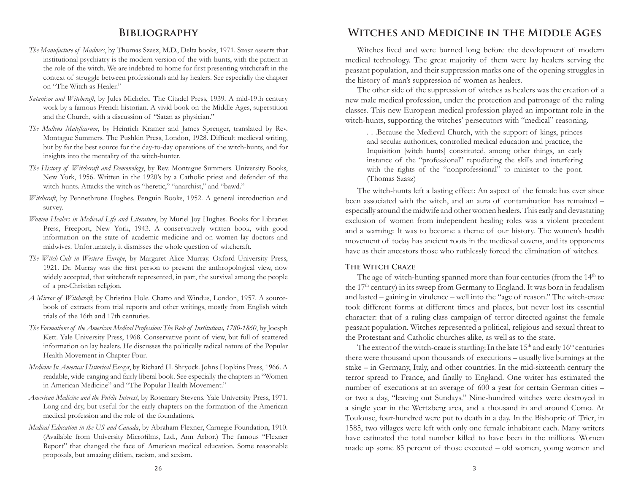## **Bibliography**

- *The Manufacture of Madness*, by Thomas Szasz, M.D., Delta books, 1971. Szasz asserts that institutional psychiatry is the modern version of the with-hunts, with the patient in the role of the witch. We are indebted to home for first presenting witchcraft in the context of struggle between professionals and lay healers. See especially the chapter on "The Witch as Healer."
- *Satanism and Witchcraft*, by Jules Michelet. The Citadel Press, 1939. A mid-19th century work by a famous French historian. A vivid book on the Middle Ages, superstition and the Church, with a discussion of "Satan as physician."
- The Malleus Maleficarum, by Heinrich Kramer and James Sprenger, translated by Rev. Montague Summers. The Pushkin Press, London, 1928. Difficult medieval writing, but by far the best source for the day-to-day operations of the witch-hunts, and for insights into the mentality of the witch-hunter.
- *The History of Witchcraft and Demonology*, by Rev. Montague Summers. University Books, New York, 1956. Written in the 1920's by a Catholic priest and defender of the witch-hunts. Attacks the witch as "heretic," "anarchist," and "bawd."
- *Witchcraft*, by Pennethrone Hughes. Penguin Books, 1952. A general introduction and survey.
- *Women Healers in Medieval Life and Literature*, by Muriel Joy Hughes. Books for Libraries Press, Freeport, New York, 1943. A conservatively written book, with good information on the state of academic medicine and on women lay doctors and midwives. Unfortunately, it dismisses the whole question of witchcraft.
- *The Witch-Cult in Western Europe*, by Margaret Alice Murray. Oxford University Press, 1921. Dr. Murray was the first person to present the anthropological view, now widely accepted, that witchcraft represented, in part, the survival among the people of a pre-Christian religion.
- *A Mirror of Witchcraft*, by Christina Hole. Chatto and Windus, London, 1957. A sourcebook of extracts from trial reports and other writings, mostly from English witch trials of the 16th and 17th centuries.
- *The Formations of the American Medical Profession: The Role of Institutions, 1780-1860*, by Joesph Kett. Yale University Press, 1968. Conservative point of view, but full of scattered information on lay healers. He discusses the politically radical nature of the Popular Health Movement in Chapter Four.
- *Medicine In America: Historical Essays*, by Richard H. Shryock. Johns Hopkins Press, 1966. A readable, wide-ranging and fairly liberal book. See especially the chapters in "Women in American Medicine" and "The Popular Health Movement."
- *American Medicine and the Public Interest*, by Rosemary Stevens. Yale University Press, 1971. Long and dry, but useful for the early chapters on the formation of the American medical profession and the role of the foundations.
- *Medical Education in the US and Canada*, by Abraham Flexner, Carnegie Foundation, 1910. (Available from University Microfilms, Ltd., Ann Arbor.) The famous "Flexner Report" that changed the face of American medical education. Some reasonable proposals, but amazing elitism, racism, and sexism.

# **Witches and Medicine in the Middle Ages**

Witches lived and were burned long before the development of modern medical technology. The great majority of them were lay healers serving the peasant population, and their suppression marks one of the opening struggles in the history of man's suppression of women as healers.

The other side of the suppression of witches as healers was the creation of <sup>a</sup> new male medical profession, under the protection and patronage of the ruling classes. This new European medical profession played an important role in the witch-hunts, supporting the witches' persecutors with "medical" reasoning.

. . .Because the Medieval Church, with the support of kings, princes and secular authorities, controlled medical education and practice, the Inquisition [witch hunts] constituted, among other things, an early instance of the "professional" repudiating the skills and interfering with the rights of the "nonprofessional" to minister to the poor. (Thomas Szasz)

The witch-hunts left a lasting effect: An aspect of the female has ever since been associated with the witch, and an aura of contamination has remained – especially around the midwife and other women healers. This early and devastating exclusion of women from independent healing roles was a violent precedent and a warning: It was to become a theme of our history. The women's health movement of today has ancient roots in the medieval covens, and its opponents have as their ancestors those who ruthlessly forced the elimination of witches.

#### **The Witch Craze**

The age of witch-hunting spanned more than four centuries (from the  $14<sup>th</sup>$  to the 17<sup>th</sup> century) in its sweep from Germany to England. It was born in feudalism and lasted – gaining in virulence – well into the "age of reason." The witch-craze took different forms at different times and places, but never lost its essential character: that of a ruling class campaign of terror directed against the female peasant population. Witches represented a political, religious and sexual threat to the Protestant and Catholic churches alike, as well as to the state.

The extent of the witch-craze is startling: In the late  $15<sup>th</sup>$  and early  $16<sup>th</sup>$  centuries there were thousand upon thousands of executions – usually live burnings at the stake – in Germany, Italy, and other countries. In the mid-sixteenth century the terror spread to France, and finally to England. One writer has estimated the number of executions at an average of 600 a year for certain German cities – or two a day, "leaving out Sundays." Nine-hundred witches were destroyed in a single year in the Wertzberg area, and a thousand in and around Como. At Toulouse, four-hundred were put to death in a day. In the Bishopric of Trier, in 1585, two villages were left with only one female inhabitant each. Many writers have estimated the total number killed to have been in the millions. Women made up some 85 percent of those executed – old women, young women and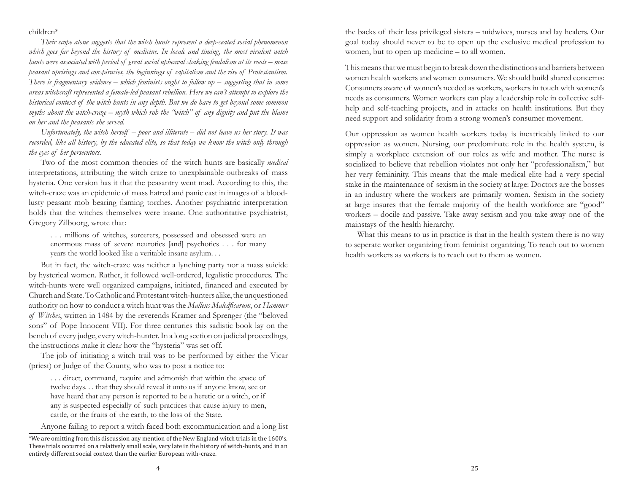#### children\*

*Their scope alone suggests that the witch hunts represent a deep-seated social phenomenon which goes far beyond the history of medicine. In locale and timing, the most virulent witch hunts were associated with period of great social upheaval shaking feudalism at its roots – mass peasant uprisings and conspiracies, the beginnings of capitalism and the rise of Protestantism. There is fragmentary evidence – which feminists ought to follow up – suggesting that in some areas witchcraft represented a female-led peasant rebellion. Here we can't attempt to explore the historical context of the witch hunts in any depth. But we do have to get beyond some common myths about the witch-craze – myth which rob the "witch" of any dignity and put the blame on her and the peasants she served.*

*Unfortunately, the witch herself – poor and illiterate – did not leave us her story. It was recorded, like all history, by the educated elite, so that today we know the witch only through the eyes of her persecutors.*

Two of the most common theories of the witch hunts are basically *medical* interpretations, attributing the witch craze to unexplainable outbreaks of mass hysteria. One version has it that the peasantry went mad. According to this, the witch-craze was an epidemic of mass hatred and panic cast in images of a bloodlusty peasant mob bearing flaming torches. Another psychiatric interpretation holds that the witches themselves were insane. One authoritative psychiatrist, Gregory Zilboorg, wrote that:

. . . millions of witches, sorcerers, possessed and obsessed were an enormous mass of severe neurotics [and] psychotics . . . for many years the world looked like a veritable insane asylum. . .

But in fact, the witch-craze was neither a lynching party nor a mass suicide by hysterical women. Rather, it followed well-ordered, legalistic procedures. The witch-hunts were well organized campaigns, initiated, financed and executed by Church and State. To Catholic and Protestant witch-hunters alike, the unquestioned authority on how to conduct a witch hunt was the *Malleus Maledficarum*, or *Hammer of Witches*, written in 1484 by the reverends Kramer and Sprenger (the "beloved sons" of Pope Innocent VII). For three centuries this sadistic book lay on the bench of every judge, every witch-hunter. In a long section on judicial proceedings, the instructions make it clear how the "hysteria" was set off.

The job of initiating a witch trail was to be performed by either the Vicar (priest) or Judge of the County, who was to post a notice to:

. . . direct, command, require and admonish that within the space of twelve days. . . that they should reveal it unto us if anyone know, see or have heard that any person is reported to be a heretic or a witch, or if any is suspected especially of such practices that cause injury to men, cattle, or the fruits of the earth, to the loss of the State.

Anyone failing to report a witch faced both excommunication and a long list

the backs of their less privileged sisters – midwives, nurses and lay healers. Our goal today should never to be to open up the exclusive medical profession to women, but to open up medicine – to all women.

This means that we must begin to break down the distinctions and barriers between women health workers and women consumers. We should build shared concerns: Consumers aware of women's needed as workers, workers in touch with women's needs as consumers. Women workers can play a leadership role in collective selfhelp and self-teaching projects, and in attacks on health institutions. But they need support and solidarity from a strong women's consumer movement.

Our oppression as women health workers today is inextricably linked to our oppression as women. Nursing, our predominate role in the health system, is simply a workplace extension of our roles as wife and mother. The nurse is socialized to believe that rebellion violates not only her "professionalism," but her very femininity. This means that the male medical elite had a very special stake in the maintenance of sexism in the society at large: Doctors are the bosses in an industry where the workers are primarily women. Sexism in the society at large insures that the female majority of the health workforce are "good" workers – docile and passive. Take away sexism and you take away one of the mainstays of the health hierarchy.

What this means to us in practice is that in the health system there is no way to seperate worker organizing from feminist organizing. To reach out to women health workers as workers is to reach out to them as women.

<sup>\*</sup>We are omitting from this discussion any mention of the New England witch trials in the 1600's. These trials occurred on a relatively small scale, very late in the history of witch-hunts, and in an entirely different social context than the earlier European with-craze.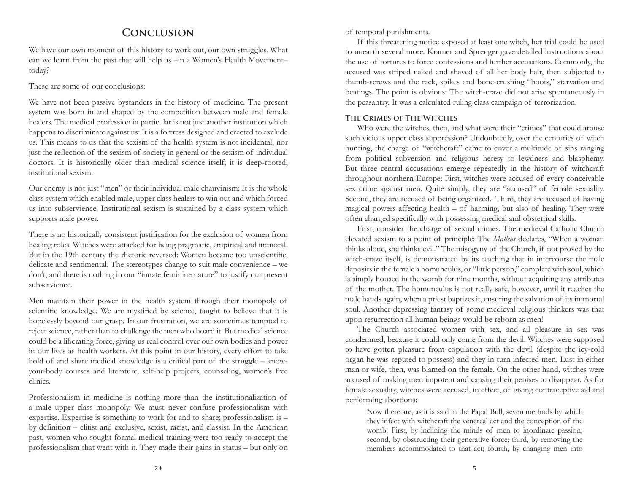# **Conclusion**

We have our own moment of this history to work out, our own struggles. What can we learn from the past that will help us –in a Women's Health Movement– today?

These are some of our conclusions:

We have not been passive bystanders in the history of medicine. The present system was born in and shaped by the competition between male and female healers. The medical profession in particular is not just another institution which happens to discriminate against us: It is a fortress designed and erected to exclude us. This means to us that the sexism of the health system is not incidental, nor just the reflection of the sexism of society in general or the sexism of individual doctors. It is historically older than medical science itself; it is deep-rooted, institutional sexism.

Our enemy is not just "men" or their individual male chauvinism: It is the whole class system which enabled male, upper class healers to win out and which forced us into subservience. Institutional sexism is sustained by a class system which supports male power.

There is no historically consistent justification for the exclusion of women from healing roles. Witches were attacked for being pragmatic, empirical and immoral. But in the 19th century the rhetoric reversed: Women became too unscientific, delicate and sentimental. The stereotypes change to suit male convenience – we don't, and there is nothing in our "innate feminine nature" to justify our present subservience.

Men maintain their power in the health system through their monopoly of scientific knowledge. We are mystified by science, taught to believe that it is hopelessly beyond our grasp. In our frustration, we are sometimes tempted to reject science, rather than to challenge the men who hoard it. But medical science could be a liberating force, giving us real control over our own bodies and power in our lives as health workers. At this point in our history, every effort to take hold of and share medical knowledge is a critical part of the struggle – knowyour-body courses and literature, self-help projects, counseling, women's free clinics.

Professionalism in medicine is nothing more than the institutionalization of a male upper class monopoly. We must never confuse professionalism with expertise. Expertise is something to work for and to share; professionalism is – by definition – elitist and exclusive, sexist, racist, and classist. In the American past, women who sought formal medical training were too ready to accept the professionalism that went with it. They made their gains in status – but only on

of temporal punishments.

If this threatening notice exposed at least one witch, her trial could be used to unearth several more. Kramer and Sprenger gave detailed instructions about the use of tortures to force confessions and further accusations. Commonly, the accused was striped naked and shaved of all her body hair, then subjected to thumb-screws and the rack, spikes and bone-crushing "boots," starvation and beatings. The point is obvious: The witch-craze did not arise spontaneously in the peasantry. It was a calculated ruling class campaign of terrorization.

#### **The Crimes of The Witches**

Who were the witches, then, and what were their "crimes" that could arouse such vicious upper class suppression? Undoubtedly, over the centuries of witch hunting, the charge of "witchcraft" came to cover a multitude of sins ranging from political subversion and religious heresy to lewdness and blasphemy. But three central accusations emerge repeatedly in the history of witchcraft throughout northern Europe: First, witches were accused of every conceivable sex crime against men. Quite simply, they are "accused" of female sexuality. Second, they are accused of being organized. Third, they are accused of having magical powers affecting health – of harming, but also of healing. They were often charged specifically with possessing medical and obstetrical skills.

First, consider the charge of sexual crimes. The medieval Catholic Church elevated sexism to a point of principle: The *Malleus* declares, "When a woman thinks alone, she thinks evil." The misogyny of the Church, if not proved by the witch-craze itself, is demonstrated by its teaching that in intercourse the male deposits in the female a homunculus, or "little person," complete with soul, which is simply housed in the womb for nine months, without acquiring any attributes of the mother. The homunculus is not really safe, however, until it reaches the male hands again, when a priest baptizes it, ensuring the salvation of its immortal soul. Another depressing fantasy of some medieval religious thinkers was that upon resurrection all human beings would be reborn as men!

The Church associated women with sex, and all pleasure in sex was condemned, because it could only come from the devil. Witches were supposed to have gotten pleasure from copulation with the devil (despite the icy-cold organ he was reputed to possess) and they in turn infected men. Lust in either man or wife, then, was blamed on the female. On the other hand, witches were accused of making men impotent and causing their penises to disappear. As for female sexuality, witches were accused, in effect, of giving contraceptive aid and performing abortions:

Now there are, as it is said in the Papal Bull, seven methods by which they infect with witchcraft the venereal act and the conception of the womb: First, by inclining the minds of men to inordinate passion; second, by obstructing their generative force; third, by removing the members accommodated to that act; fourth, by changing men into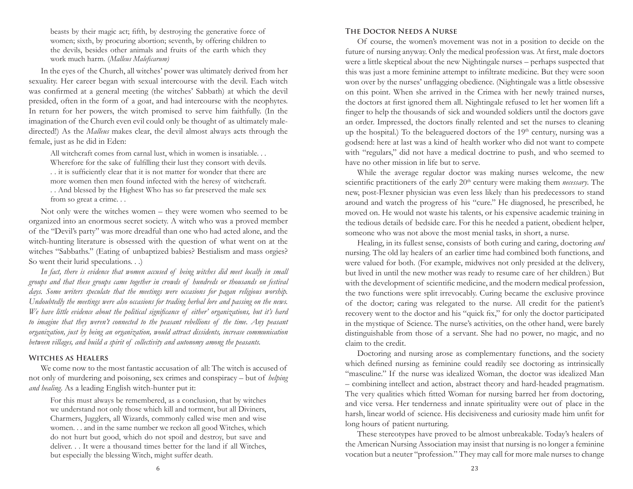beasts by their magic act; fifth, by destroying the generative force of women; sixth, by procuring abortion; seventh, by offering children to the devils, besides other animals and fruits of the earth which they work much harm. (*Malleus Malefi carum)*

In the eyes of the Church, all witches' power was ultimately derived from her sexuality. Her career began with sexual intercourse with the devil. Each witch was confirmed at a general meeting (the witches' Sabbath) at which the devil presided, often in the form of a goat, and had intercourse with the neophytes. In return for her powers, the witch promised to serve him faithfully. (In the imagination of the Church even evil could only be thought of as ultimately maledirected!) As the *Malleus* makes clear, the devil almost always acts through the female, just as he did in Eden:

All witchcraft comes from carnal lust, which in women is insatiable. . .

Wherefore for the sake of fulfilling their lust they consort with devils. . . it is sufficiently clear that it is not matter for wonder that there are more women then men found infected with the heresy of witchcraft. . . And blessed by the Highest Who has so far preserved the male sex

from so great a crime. . .

Not only were the witches women – they were women who seemed to be organized into an enormous secret society. A witch who was a proved member of the "Devil's party" was more dreadful than one who had acted alone, and the witch-hunting literature is obsessed with the question of what went on at the witches "Sabbaths." (Eating of unbaptized babies? Bestialism and mass orgies? So went their lurid speculations. . .)

*In fact, there is evidence that women accused of being witches did meet locally in small groups and that these groups came together in crowds of hundreds or thousands on festival*  days. Some writers speculate that the meetings were occasions for pagan religious worship. *Undoubtedly the meetings were also occasions for trading herbal lore and passing on the news. We have little evidence about the political significance of either' organizations, but it's hard to imagine that they weren't connected to the peasant rebellions of the time. Any peasant organization, just by being an organization, would attract dissidents, increase communication between villages, and build a spirit of collectivity and autonomy among the peasants.*

#### **Witches as Healers**

We come now to the most fantastic accusation of all: The witch is accused of not only of murdering and poisoning, sex crimes and conspiracy – but of *helping and healing*. As a leading English witch-hunter put it:

For this must always be remembered, as a conclusion, that by witches we understand not only those which kill and torment, but all Diviners, Charmers, Jugglers, all Wizards, commonly called wise men and wise women. . . and in the same number we reckon all good Witches, which do not hurt but good, which do not spoil and destroy, but save and deliver. . . It were a thousand times better for the land if all Witches, but especially the blessing Witch, might suffer death.

#### **The Doctor Needs A Nurse**

Of course, the women's movement was not in a position to decide on the future of nursing anyway. Only the medical profession was. At first, male doctors were a little skeptical about the new Nightingale nurses – perhaps suspected that this was just a more feminine attempt to infiltrate medicine. But they were soon won over by the nurses' unflagging obedience. (Nightingale was a little obsessive on this point. When she arrived in the Crimea with her newly trained nurses, the doctors at first ignored them all. Nightingale refused to let her women lift a finger to help the thousands of sick and wounded soldiers until the doctors gave an order. Impressed, the doctors finally relented and set the nurses to cleaning up the hospital.) To the beleaguered doctors of the 19<sup>th</sup> century, nursing was a godsend: here at last was a kind of health worker who did not want to compete with "regulars," did not have a medical doctrine to push, and who seemed to have no other mission in life but to serve.

While the average regular doctor was making nurses welcome, the new scientific practitioners of the early 20<sup>th</sup> century were making them *necessary*. The new, post-Flexner physician was even less likely than his predecessors to stand around and watch the progress of his "cure." He diagnosed, he prescribed, he moved on. He would not waste his talents, or his expensive academic training in the tedious details of bedside care. For this he needed a patient, obedient helper, someone who was not above the most menial tasks, in short, a nurse.

Healing, in its fullest sense, consists of both curing and caring, doctoring *and* nursing. The old lay healers of an earlier time had combined both functions, and were valued for both. (For example, midwives not only presided at the delivery, but lived in until the new mother was ready to resume care of her children.) But with the development of scientific medicine, and the modern medical profession, the two functions were split irrevocably. Curing became the exclusive province of the doctor; caring was relegated to the nurse. All credit for the patient's recovery went to the doctor and his "quick fix," for only the doctor participated in the mystique of Science. The nurse's activities, on the other hand, were barely distinguishable from those of a servant. She had no power, no magic, and no claim to the credit.

Doctoring and nursing arose as complementary functions, and the society which defined nursing as feminine could readily see doctoring as intrinsically "masculine." If the nurse was idealized Woman, the doctor was idealized Man – combining intellect and action, abstract theory and hard-headed pragmatism. The very qualities which fitted Woman for nursing barred her from doctoring, and vice versa. Her tenderness and innate spirituality were out of place in the harsh, linear world of science. His decisiveness and curiosity made him unfit for long hours of patient nurturing.

These stereotypes have proved to be almost unbreakable. Today's healers of the American Nursing Association may insist that nursing is no longer a feminine vocation but a neuter "profession." They may call for more male nurses to change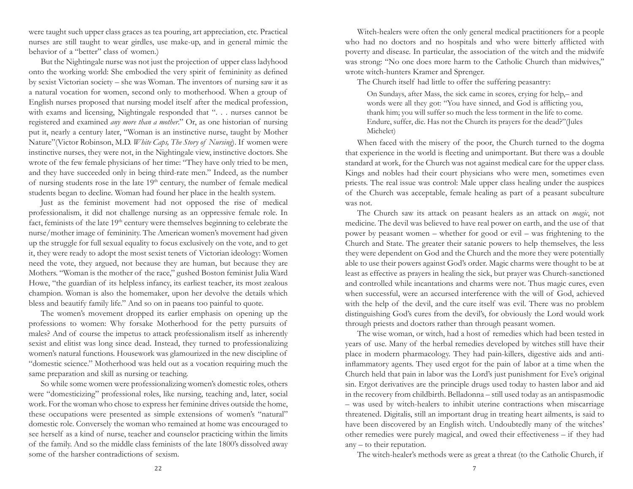were taught such upper class graces as tea pouring, art appreciation, etc. Practical nurses are still taught to wear girdles, use make-up, and in general mimic the behavior of <sup>a</sup>"better" class of women.)

But the Nightingale nurse was not just the projection of upper class ladyhood onto the working world: She embodied the very spirit of femininity as defined by sexist Victorian society – she was Woman. The inventors of nursing saw it as a natural vocation for women, second only to motherhood. When a group of English nurses proposed that nursing model itself after the medical profession, with exams and licensing, Nightingale responded that ". . . nurses cannot be registered and examined *any more than a mother*." Or, as one historian of nursing put it, nearly a century later, "Woman is an instinctive nurse, taught by Mother Nature"(Victor Robinson, M.D. *White Caps, The Story of Nursing*). If women were instinctive nurses, they were not, in the Nightingale view, instinctive doctors. She wrote of the few female physicians of her time: "They have only tried to be men, and they have succeeded only in being third-rate men." Indeed, as the number of nursing students rose in the late 19<sup>th</sup> century, the number of female medical students began to decline. Woman had found her place in the health system.

Just as the feminist movement had not opposed the rise of medical professionalism, it did not challenge nursing as an oppressive female role. In fact, feminists of the late  $19<sup>th</sup>$  century were themselves beginning to celebrate the nurse/mother image of femininity. The American women's movement had given up the struggle for full sexual equality to focus exclusively on the vote, and to get it, they were ready to adopt the most sexist tenets of Victorian ideology: Women need the vote, they argued, not because they are human, but because they are Mothers. "Woman is the mother of the race," gushed Boston feminist Julia Ward Howe, "the guardian of its helpless infancy, its earliest teacher, its most zealous champion. Woman is also the homemaker, upon her devolve the details which bless and beautify family life." And so on in paeans too painful to quote.

The women's movement dropped its earlier emphasis on opening up the professions to women: Why forsake Motherhood for the petty pursuits of males? And of course the impetus to attack professionalism itself as inherently sexist and elitist was long since dead. Instead, they turned to professionalizing women's natural functions. Housework was glamourized in the new discipline of "domestic science." Motherhood was held out as a vocation requiring much the same preparation and skill as nursing or teaching.

So while some women were professionalizing women's domestic roles, others were "domesticizing" professional roles, like nursing, teaching and, later, social work. For the woman who chose to express her feminine drives outside the home, these occupations were presented as simple extensions of women's "natural" domestic role. Conversely the woman who remained at home was encouraged to see herself as a kind of nurse, teacher and counselor practicing within the limits of the family. And so the middle class feminists of the late 1800's dissolved away some of the harsher contradictions of sexism.

Witch-healers were often the only general medical practitioners for a people who had no doctors and no hospitals and who were bitterly afflicted with poverty and disease. In particular, the association of the witch and the midwife was strong: "No one does more harm to the Catholic Church than midwives," wrote witch-hunters Kramer and Sprenger.

The Church itself had little to offer the suffering peasantry:

On Sundays, after Mass, the sick came in scores, crying for help,– and words were all they got: "You have sinned, and God is afflicting you, thank him; you will suffer so much the less torment in the life to come. Endure, suffer, die. Has not the Church its prayers for the dead?"(Jules Michelet)

When faced with the misery of the poor, the Church turned to the dogma that experience in the world is fleeting and unimportant. But there was a double standard at work, for the Church was not against medical care for the upper class. Kings and nobles had their court physicians who were men, sometimes even priests. The real issue was control: Male upper class healing under the auspices of the Church was acceptable, female healing as part of a peasant subculture was not.

The Church saw its attack on peasant healers as an attack on *magic*, not medicine. The devil was believed to have real power on earth, and the use of that power by peasant women – whether for good or evil – was frightening to the Church and State. The greater their satanic powers to help themselves, the less they were dependent on God and the Church and the more they were potentially able to use their powers against God's order. Magic charms were thought to be at least as effective as prayers in healing the sick, but prayer was Church-sanctioned and controlled while incantations and charms were not. Thus magic cures, even when successful, were an accursed interference with the will of God, achieved with the help of the devil, and the cure itself was evil. There was no problem distinguishing God's cures from the devil's, for obviously the Lord would work through priests and doctors rather than through peasant women.

The wise woman, or witch, had a host of remedies which had been tested in years of use. Many of the herbal remedies developed by witches still have their place in modern pharmacology. They had pain-killers, digestive aids and antiinflammatory agents. They used ergot for the pain of labor at a time when the Church held that pain in labor was the Lord's just punishment for Eve's original sin. Ergot derivatives are the principle drugs used today to hasten labor and aid in the recovery from childbirth. Belladonna – still used today as an antispasmodic – was used by witch-healers to inhibit uterine contractions when miscarriage threatened. Digitalis, still an important drug in treating heart ailments, is said to have been discovered by an English witch. Undoubtedly many of the witches' other remedies were purely magical, and owed their effectiveness – if they had any – to their reputation.

The witch-healer's methods were as great a threat (to the Catholic Church, if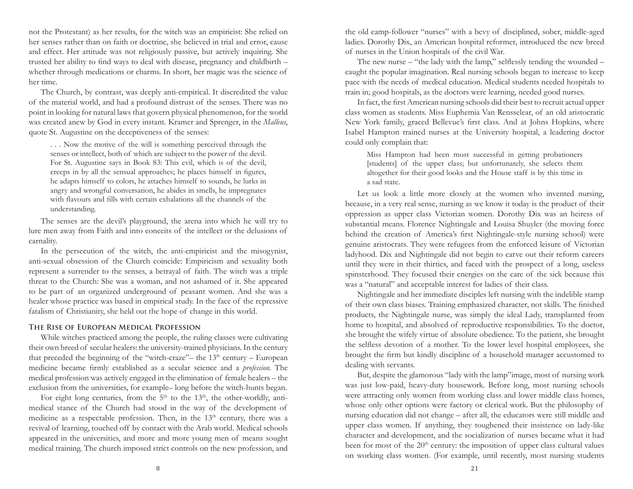not the Protestant) as her results, for the witch was an empiricist: She relied on her senses rather than on faith or doctrine, she believed in trial and error, cause and effect. Her attitude was not religiously passive, but actively inquiring. She trusted her ability to find ways to deal with disease, pregnancy and childbirth – whether through medications or charms. In short, her magic was the science of her time.

The Church, by contrast, was deeply anti-empirical. It discredited the value of the material world, and had a profound distrust of the senses. There was no point in looking for natural laws that govern physical phenomenon, for the world was created anew by God in every instant. Kramer and Sprenger, in the *Malleus*, quote St. Augustine on the deceptiveness of the senses:

. . . Now the motive of the will is something perceived through the senses or intellect, both of which are subject to the power of the devil. For St. Augustine says in Book 83: This evil, which is of the devil, creeps in by all the sensual approaches; he places himself in figures, he adapts himself to colors, he attaches himself to sounds, he lurks in angry and wrongful conversation, he abides in smells, he impregnates with flavours and fills with certain exhalations all the channels of the understanding.

The senses are the devil's playground, the arena into which he will try to lure men away from Faith and into conceits of the intellect or the delusions of carnality.

In the persecution of the witch, the anti-empiricist and the misogynist, anti-sexual obsession of the Church coincide: Empiricism and sexuality both represent a surrender to the senses, a betrayal of faith. The witch was a triple threat to the Church: She was a woman, and not ashamed of it. She appeared to be part of an organized underground of peasant women. And she was a healer whose practice was based in empirical study. In the face of the repressive fatalism of Christianity, she held out the hope of change in this world.

#### **The Rise of European Medical Profession**

While witches practiced among the people, the ruling classes were cultivating their own breed of secular healers: the university-trained physicians. In the century that preceded the beginning of the "witch-craze"– the  $13<sup>th</sup>$  century – European medicine became fi rmly established as a secular science and a *profession*. The medical profession was actively engaged in the elimination of female healers – the exclusion from the universities, for example– long before the witch-hunts began.

For eight long centuries, from the  $5<sup>th</sup>$  to the  $13<sup>th</sup>$ , the other-worldly, antimedical stance of the Church had stood in the way of the development of medicine as a respectable profession. Then, in the  $13<sup>th</sup>$  century, there was a revival of learning, touched off by contact with the Arab world. Medical schools appeared in the universities, and more and more young men of means sought medical training. The church imposed strict controls on the new profession, and

the old camp-follower "nurses" with a bevy of disciplined, sober, middle-aged ladies. Dorothy Dix, an American hospital reformer, introduced the new breed of nurses in the Union hospitals of the civil War.

The new nurse – "the lady with the lamp," selflessly tending the wounded – caught the popular imagination. Real nursing schools began to increase to keep pace with the needs of medical education. Medical students needed hospitals to train in; good hospitals, as the doctors were learning, needed good nurses.

In fact, the first American nursing schools did their best to recruit actual upper class women as students. Miss Euphemia Van Rensselear, of an old aristocratic New York family, graced Bellevue's first class. And at Johns Hopkins, where Isabel Hampton trained nurses at the University hospital, a leadering doctor could only complain that:

Miss Hampton had been most successful in getting probationers [students] of the upper class; but unfortunately, she selects them altogether for their good looks and the House staff is by this time in a sad state.

Let us look a little more closely at the women who invented nursing, because, in a very real sense, nursing as we know it today is the product of their oppression as upper class Victorian women. Dorothy Dix was an heiress of substantial means. Florence Nightingale and Louisa Shuyler (the moving force behind the creation of America's first Nightingale-style nursing school) were genuine aristocrats. They were refugees from the enforced leisure of Victorian ladyhood. Dix and Nightingale did not begin to carve out their reform careers until they were in their thirties, and faced with the prospect of a long, useless spinsterhood. They focused their energies on the care of the sick because this was a "natural" and acceptable interest for ladies of their class.

Nightingale and her immediate disciples left nursing with the indelible stamp of their own class biases. Training emphasized character, not skills. The finished products, the Nightingale nurse, was simply the ideal Lady, transplanted from home to hospital, and absolved of reproductive responsibilities. To the doctor, she brought the wifely virtue of absolute obedience. To the patient, she brought the selfless devotion of a mother. To the lower level hospital employees, she brought the firm but kindly discipline of a household manager accustomed to dealing with servants.

But, despite the glamorous "lady with the lamp"image, most of nursing work was just low-paid, heavy-duty housework. Before long, most nursing schools were attracting only women from working class and lower middle class homes, whose only other options were factory or clerical work. But the philosophy of nursing education did not change – after all, the educators were still middle and upper class women. If anything, they toughened their insistence on lady-like character and development, and the socialization of nurses became what it had been for most of the 20<sup>th</sup> century: the imposition of upper class cultural values on working class women. (For example, until recently, most nursing students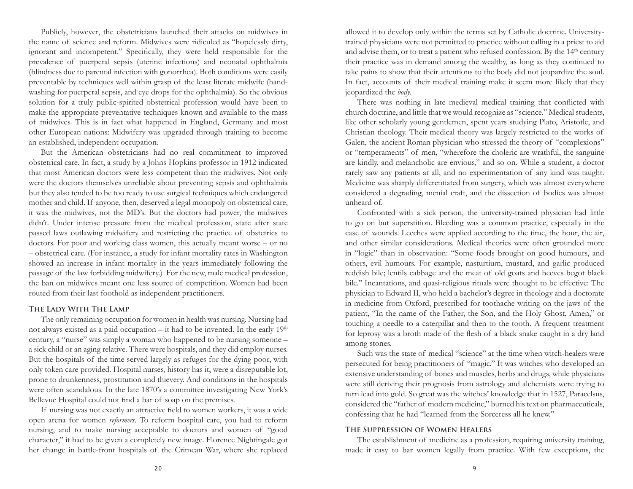Publicly, however, the obstetricians launched their attacks on midwives in the name of science and reform. Midwives were ridiculed as "hopelessly dirty, ignorant and incompetent." Specifically, they were held responsible for the prevalence of puerperal sepsis (uterine infections) and neonatal ophthalmia (blindness due to parental infection with gonorrhea). Both conditions were easily preventable by techniques well within grasp of the least literate midwife (handwashing for puerperal sepsis, and eye drops for the ophthalmia). So the obvious solution for a truly public-spirited obstetrical profession would have been to make the appropriate preventative techniques known and available to the mass of midwives. This is in fact what happened in England, Germany and most other European nations: Midwifery was upgraded through training to become an established, independent occupation.

But the American obstetricians had no real commitment to improved obstetrical care. In fact, a study by a Johns Hopkins professor in 1912 indicated that most American doctors were less competent than the midwives. Not only were the doctors themselves unreliable about preventing sepsis and ophthalmia but they also tended to be too ready to use surgical techniques which endangered mother and child. If anyone, then, deserved a legal monopoly on obstetrical care, it was the midwives, not the MD's. But the doctors had power, the midwives didn't. Under intense pressure from the medical profession, state after state passed laws outlawing midwifery and restricting the practice of obstetrics to doctors. For poor and working class women, this actually meant worse – or no – obstetrical care. (For instance, a study for infant mortality rates in Washington showed an increase in infant mortality in the years immediately following the passage of the law forbidding midwifery.) For the new, male medical profession, the ban on midwives meant one less source of competition. Women had been routed from their last foothold as independent practitioners.

#### **The Lady With The Lamp**

The only remaining occupation for women in health was nursing. Nursing had not always existed as a paid occupation – it had to be invented. In the early  $19<sup>th</sup>$ century, a "nurse" was simply a woman who happened to be nursing someone – a sick child or an aging relative. There were hospitals, and they did employ nurses. But the hospitals of the time served largely as refuges for the dying poor, with only token care provided. Hospital nurses, history has it, were a disreputable lot, prone to drunkenness, prostitution and thievery. And conditions in the hospitals were often scandalous. In the late 1870's a committee investigating New York's Bellevue Hospital could not find a bar of soap on the premises.

If nursing was not exactly an attractive field to women workers, it was a wide open arena for women *reformers*. To reform hospital care, you had to reform nursing, and to make nursing acceptable to doctors and women of "good character," it had to be given a completely new image. Florence Nightingale got her change in battle-front hospitals of the Crimean War, where she replaced

allowed it to develop only within the terms set by Catholic doctrine. Universitytrained physicians were not permitted to practice without calling in a priest to aid and advise them, or to treat a patient who refused confession. By the  $14<sup>th</sup>$  century their practice was in demand among the wealthy, as long as they continued to take pains to show that their attentions to the body did not jeopardize the soul. In fact, accounts of their medical training make it seem more likely that they jeopardized the *body*.

There was nothing in late medieval medical training that conflicted with church doctrine, and little that we would recognize as "science." Medical students, like other scholarly young gentlemen, spent years studying Plato, Aristotle, and Christian theology. Their medical theory was largely restricted to the works of Galen, the ancient Roman physician who stressed the theory of "complexions" or "temperaments" of men, "wherefore the choleric are wrathful, the sanguine are kindly, and melancholic are envious," and so on. While a student, a doctor rarely saw any patients at all, and no experimentation of any kind was taught. Medicine was sharply differentiated from surgery, which was almost everywhere considered a degrading, menial craft, and the dissection of bodies was almost unheard of.

Confronted with a sick person, the university-trained physician had little to go on but superstition. Bleeding was a common practice, especially in the case of wounds. Leeches were applied according to the time, the hour, the air, and other similar considerations. Medical theories were often grounded more in "logic" than in observation: "Some foods brought on good humours, and others, evil humours. For example, nasturtium, mustard, and garlic produced reddish bile; lentils cabbage and the meat of old goats and beeves begot black bile." Incantations, and quasi-religious rituals were thought to be effective: The physician to Edward II, who held a bachelor's degree in theology and a doctorate in medicine from Oxford, prescribed for toothache writing on the jaws of the patient, "In the name of the Father, the Son, and the Holy Ghost, Amen," or touching a needle to a caterpillar and then to the tooth. A frequent treatment for leprosy was a broth made of the flesh of a black snake caught in a dry land among stones.

Such was the state of medical "science" at the time when witch-healers were persecuted for being practitioners of "magic." It was witches who developed an extensive understanding of bones and muscles, herbs and drugs, while physicians were still deriving their prognosis from astrology and alchemists were trying to turn lead into gold. So great was the witches' knowledge that in 1527, Paracelsus, considered the "father of modern medicine," burned his text on pharmaceuticals, confessing that he had "learned from the Sorceress all he knew."

#### **The Suppression of Women Healers**

The establishment of medicine as a profession, requiring university training, made it easy to bar women legally from practice. With few exceptions, the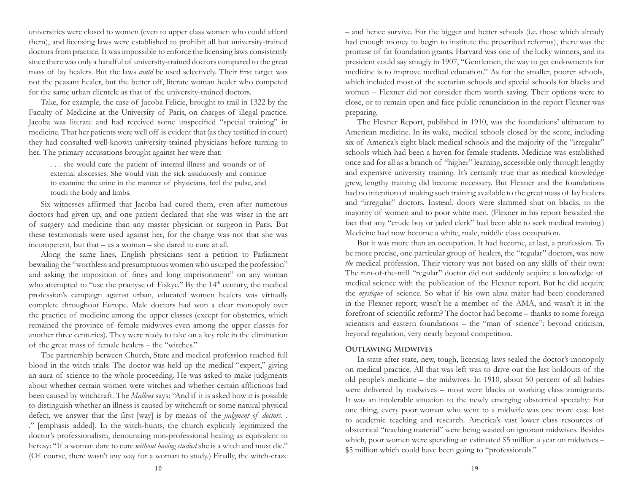universities were closed to women (even to upper class women who could afford them), and licensing laws were established to prohibit all but university-trained doctors from practice. It was impossible to enforce the licensing laws consistently since there was only a handful of university-trained doctors compared to the great mass of lay healers. But the laws *could* be used selectively. Their first target was not the peasant healer, but the better off, literate woman healer who competed for the same urban clientele as that of the university-trained doctors.

Take, for example, the case of Jacoba Felicie, brought to trail in 1322 by the Faculty of Medicine at the University of Paris, on charges of illegal practice. Jacoba was literate and had received some unspecified "special training" in medicine. That her patients were well off is evident that (as they testified in court) they had consulted well-known university-trained physicians before turning to her. The primary accusations brought against her were that:

. . . she would cure the patient of internal illness and wounds or of external abscesses. She would visit the sick assiduously and continue to examine the urine in the manner of physicians, feel the pulse, and touch the body and limbs.

Six witnesses affirmed that Jacoba had cured them, even after numerous doctors had given up, and one patient declared that she was wiser in the art of surgery and medicine than any master physician or surgeon in Paris. But these testimonials were used against her, for the charge was not that she was incompetent, but that – as a woman – she dared to cure at all.

Along the same lines, English physicians sent a petition to Parliament bewailing the "worthless and presumptuous women who usurped the profession" and asking the imposition of fines and long imprisonment" on any woman who attempted to "use the practyse of Fiskyc." By the 14<sup>th</sup> century, the medical profession's campaign against urban, educated women healers was virtually complete throughout Europe. Male doctors had won a clear monopoly over the practice of medicine among the upper classes (except for obstetrics, which remained the province of female midwives even among the upper classes for another three centuries). They were ready to take on a key role in the elimination of the great mass of female healers – the "witches."

The partnership between Church, State and medical profession reached full blood in the witch trials. The doctor was held up the medical "expert," giving an aura of science to the whole proceeding. He was asked to make judgments about whether certain women were witches and whether certain afflictions had been caused by witchcraft. The *Malleus* says: "And if it is asked how it is possible to distinguish whether an illness is caused by witchcraft or some natural physical defect, we answer that the first [way] is by means of the *judgment of doctors*.. ." [emphasis added]. In the witch-hunts, the church explicitly legitimized the doctor's professionalism, denouncing non-professional healing as equivalent to heresy: "If a woman dare to cure *without having studied* she is a witch and must die." (Of course, there wasn't any way for a woman to study.) Finally, the witch-craze

– and hence survive. For the bigger and better schools (i.e. those which already had enough money to begin to institute the prescribed reforms), there was the promise of fat foundation grants. Harvard was one of the lucky winners, and its president could say smugly in 1907, "Gentlemen, the way to get endowments for medicine is to improve medical education." As for the smaller, poorer schools, which included most of the sectarian schools and special schools for blacks and women – Flexner did not consider them worth saving. Their options were to close, or to remain open and face public renunciation in the report Flexner was preparing.

The Flexner Report, published in 1910, was the foundations' ultimatum to American medicine. In its wake, medical schools closed by the score, including six of America's eight black medical schools and the majority of the "irregular" schools which had been a haven for female students. Medicine was established once and for all as a branch of "higher" learning, accessible only through lengthy and expensive university training. It's certainly true that as medical knowledge grew, lengthy training did become necessary. But Flexner and the foundations had no intention of making such training available to the great mass of lay healers and "irregular" doctors. Instead, doors were slammed shut on blacks, to the majority of women and to poor white men. (Flexner in his report bewailed the fact that any "crude boy or jaded clerk" had been able to seek medical training.) Medicine had now become a white, male, middle class occupation.

But it was more than an occupation. It had become, at last, a profession. To be more precise, one particular group of healers, the "regular" doctors, was now *the* medical profession. Their victory was not based on any skills of their own: The run-of-the-mill "regular" doctor did not suddenly acquire a knowledge of medical science with the publication of the Flexner report. But he did acquire the *mystique* of science. So what if his own alma mater had been condemned in the Flexner report; wasn't he a member of the AMA, and wasn't it in the forefront of scientific reform? The doctor had become – thanks to some foreign scientists and eastern foundations – the "man of science": beyond criticism, beyond regulation, very nearly beyond competition.

#### **Outlawing Midwives**

In state after state, new, tough, licensing laws sealed the doctor's monopoly on medical practice. All that was left was to drive out the last holdouts of the old people's medicine – the midwives. In 1910, about 50 percent of all babies were delivered by midwives – most were blacks or working class immigrants. It was an intolerable situation to the newly emerging obstetrical specialty: For one thing, every poor woman who went to a midwife was one more case lost to academic teaching and research. America's vast lower class resources of obstetrical "teaching material" were being wasted on ignorant midwives. Besides which, poor women were spending an estimated \$5 million a year on midwives – \$5 million which could have been going to "professionals."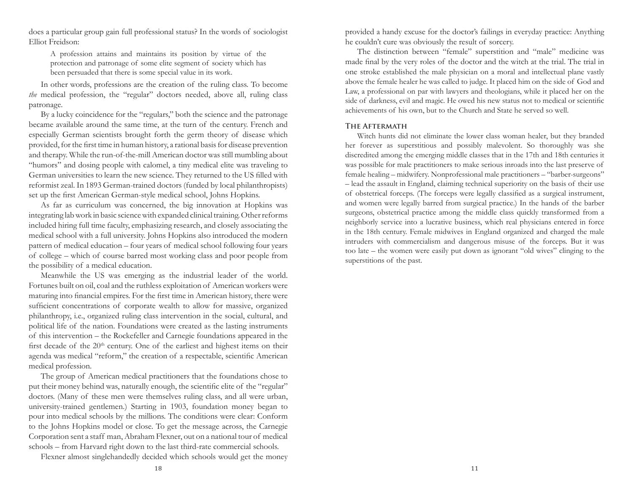does a particular group gain full professional status? In the words of sociologist Elliot Freidson:

A profession attains and maintains its position by virtue of the protection and patronage of some elite segment of society which has been persuaded that there is some special value in its work.

In other words, professions are the creation of the ruling class. To become *the* medical profession, the "regular" doctors needed, above all, ruling class patronage.

By a lucky coincidence for the "regulars," both the science and the patronage became available around the same time, at the turn of the century. French and especially German scientists brought forth the germ theory of disease which provided, for the first time in human history, a rational basis for disease prevention and therapy. While the run-of-the-mill American doctor was still mumbling about "humors" and dosing people with calomel, a tiny medical elite was traveling to German universities to learn the new science. They returned to the US filled with reformist zeal. In 1893 German-trained doctors (funded by local philanthropists) set up the first American German-style medical school, Johns Hopkins.

As far as curriculum was concerned, the big innovation at Hopkins was integrating lab work in basic science with expanded clinical training. Other reforms included hiring full time faculty, emphasizing research, and closely associating the medical school with a full university. Johns Hopkins also introduced the modern pattern of medical education – four years of medical school following four years of college – which of course barred most working class and poor people from the possibility of a medical education.

Meanwhile the US was emerging as the industrial leader of the world. Fortunes built on oil, coal and the ruthless exploitation of American workers were maturing into financial empires. For the first time in American history, there were sufficient concentrations of corporate wealth to allow for massive, organized philanthropy, i.e., organized ruling class intervention in the social, cultural, and political life of the nation. Foundations were created as the lasting instruments of this intervention – the Rockefeller and Carnegie foundations appeared in the first decade of the  $20<sup>th</sup>$  century. One of the earliest and highest items on their agenda was medical "reform," the creation of a respectable, scientific American medical profession.

The group of American medical practitioners that the foundations chose to put their money behind was, naturally enough, the scientific elite of the "regular" doctors. (Many of these men were themselves ruling class, and all were urban, university-trained gentlemen.) Starting in 1903, foundation money began to pour into medical schools by the millions. The conditions were clear: Conform to the Johns Hopkins model or close. To get the message across, the Carnegie Corporation sent a staff man, Abraham Flexner, out on a national tour of medical schools – from Harvard right down to the last third-rate commercial schools.

Flexner almost singlehandedly decided which schools would get the money

provided a handy excuse for the doctor's failings in everyday practice: Anything he couldn't cure was obviously the result of sorcery.

The distinction between "female" superstition and "male" medicine was made final by the very roles of the doctor and the witch at the trial. The trial in one stroke established the male physician on a moral and intellectual plane vastly above the female healer he was called to judge. It placed him on the side of God and Law, a professional on par with lawyers and theologians, while it placed her on the side of darkness, evil and magic. He owed his new status not to medical or scientific achievements of his own, but to the Church and State he served so well.

#### **The Aftermath**

Witch hunts did not eliminate the lower class woman healer, but they branded her forever as superstitious and possibly malevolent. So thoroughly was she discredited among the emerging middle classes that in the 17th and 18th centuries it was possible for male practitioners to make serious inroads into the last preserve of female healing – midwifery. Nonprofessional male practitioners – "barber-surgeons" – lead the assault in England, claiming technical superiority on the basis of their use of obstetrical forceps. (The forceps were legally classified as a surgical instrument, and women were legally barred from surgical practice.) In the hands of the barber surgeons, obstetrical practice among the middle class quickly transformed from a neighborly service into a lucrative business, which real physicians entered in force in the 18th century. Female midwives in England organized and charged the male intruders with commercialism and dangerous misuse of the forceps. But it was too late – the women were easily put down as ignorant "old wives" clinging to the superstitions of the past.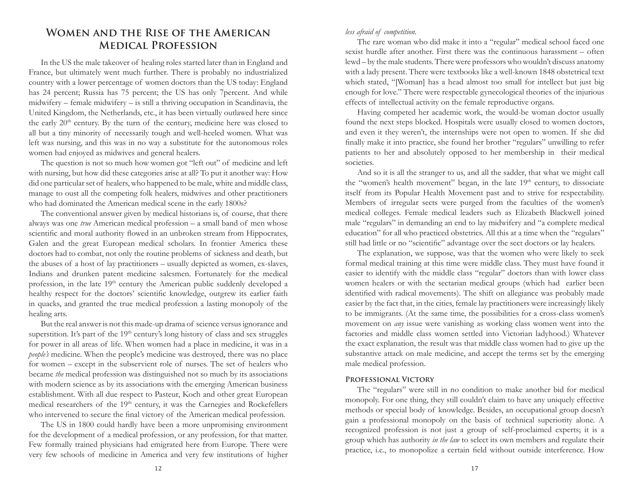# **Women and the Rise of the American Medical Profession**

In the US the male takeover of healing roles started later than in England and France, but ultimately went much further. There is probably no industrialized country with a lower percentage of women doctors than the US today: England has 24 percent; Russia has 75 percent; the US has only 7percent. And while midwifery – female midwifery – is still a thriving occupation in Scandinavia, the United Kingdom, the Netherlands, etc., it has been virtually outlawed here since the early 20<sup>th</sup> century. By the turn of the century, medicine here was closed to all but a tiny minority of necessarily tough and well-heeled women. What was left was nursing, and this was in no way a substitute for the autonomous roles women had enjoyed as midwives and general healers.

The question is not so much how women got "left out" of medicine and left with nursing, but how did these categories arise at all? To put it another way: How did one particular set of healers, who happened to be male, white and middle class, manage to oust all the competing folk healers, midwives and other practitioners who had dominated the American medical scene in the early 1800s?

The conventional answer given by medical historians is, of course, that there always was one *true* American medical profession – a small band of men whose scientific and moral authority flowed in an unbroken stream from Hippocrates, Galen and the great European medical scholars. In frontier America these doctors had to combat, not only the routine problems of sickness and death, but the abuses of a host of lay practitioners – usually depicted as women, ex-slaves, Indians and drunken patent medicine salesmen. Fortunately for the medical profession, in the late 19<sup>th</sup> century the American public suddenly developed a healthy respect for the doctors' scientific knowledge, outgrew its earlier faith in quacks, and granted the true medical profession a lasting monopoly of the healing arts.

But the real answer is not this made-up drama of science versus ignorance and superstition. It's part of the  $19<sup>th</sup>$  century's long history of class and sex struggles for power in all areas of life. When women had a place in medicine, it was in a *people's* medicine. When the people's medicine was destroyed, there was no place for women – except in the subservient role of nurses. The set of healers who became *the* medical profession was distinguished not so much by its associations with modern science as by its associations with the emerging American business establishment. With all due respect to Pasteur, Koch and other great European medical researchers of the 19<sup>th</sup> century, it was the Carnegies and Rockefellers who intervened to secure the final victory of the American medical profession.

The US in 1800 could hardly have been a more unpromising environment for the development of a medical profession, or any profession, for that matter. Few formally trained physicians had emigrated here from Europe. There were very few schools of medicine in America and very few institutions of higher

#### *less afraid of competition.*

The rare woman who did make it into a "regular" medical school faced one sexist hurdle after another. First there was the continuous harassment – often lewd – by the male students. There were professors who wouldn't discuss anatomy with a lady present. There were textbooks like a well-known 1848 obstetrical text which stated, "[Woman] has a head almost too small for intellect but just big enough for love." There were respectable gynecological theories of the injurious effects of intellectual activity on the female reproductive organs.

Having competed her academic work, the would-be woman doctor usually found the next steps blocked. Hospitals were usually closed to women doctors, and even it they weren't, the internships were not open to women. If she did finally make it into practice, she found her brother "regulars" unwilling to refer patients to her and absolutely opposed to her membership in their medical societies.

And so it is all the stranger to us, and all the sadder, that what we might call the "women's health movement" began, in the late 19<sup>th</sup> century, to dissociate itself from its Popular Health Movement past and to strive for respectability. Members of irregular sects were purged from the faculties of the women's medical colleges. Female medical leaders such as Elizabeth Blackwell joined male "regulars" in demanding an end to lay midwifery and "a complete medical education" for all who practiced obstetrics. All this at a time when the "regulars" still had little or no "scientific" advantage over the sect doctors or lay healers.

The explanation, we suppose, was that the women who were likely to seek formal medical training at this time were middle class. They must have found it easier to identify with the middle class "regular" doctors than with lower class women healers or with the sectarian medical groups (which had earlier been identified with radical movements). The shift on allegiance was probably made easier by the fact that, in the cities, female lay practitioners were increasingly likely to be immigrants. (At the same time, the possibilities for a cross-class women's movement on *any* issue were vanishing as working class women went into the factories and middle class women settled into Victorian ladyhood.) Whatever the exact explanation, the result was that middle class women had to give up the substantive attack on male medicine, and accept the terms set by the emerging male medical profession.

#### **Professional Victory**

The "regulars" were still in no condition to make another bid for medical monopoly. For one thing, they still couldn't claim to have any uniquely effective methods or special body of knowledge. Besides, an occupational group doesn't gain a professional monopoly on the basis of technical superiority alone. A recognized profession is not just a group of self-proclaimed experts; it is a group which has authority *in the law* to select its own members and regulate their practice, i.e., to monopolize a certain field without outside interference. How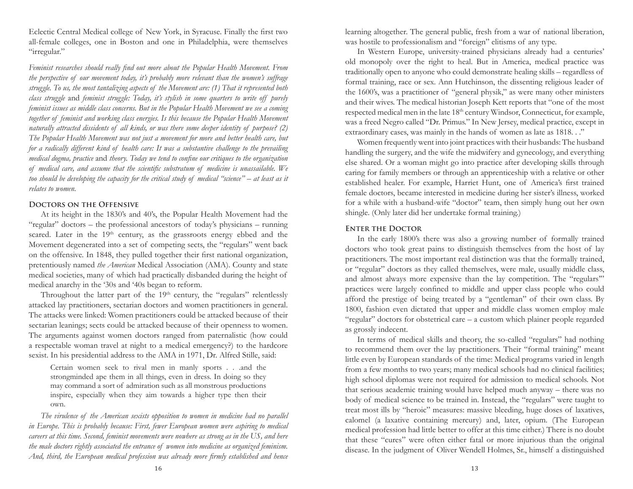Eclectic Central Medical college of New York, in Syracuse. Finally the first two all-female colleges, one in Boston and one in Philadelphia, were themselves "irregular."

*Feminist researches should really fi nd out more about the Popular Health Movement. From the perspective of our movement today, it's probably more relevant than the women's suffrage struggle. To us, the most tantalizing aspects of the Movement are: (1) That it represented both class struggle* and *feminist struggle: Today, it's stylish in some quarters to write off purely feminist issues as middle class concerns. But in the Popular Health Movement we see a coming together of feminist and working class energies. Is this because the Popular Health Movement naturally attracted dissidents of all kinds, or was there some deeper identity of purpose? (2) The Popular Health Movement was not just a movement for more and better health care, but for a radically different kind of health care: It was a substantive challenge to the prevailing medical dogma, practice* and theory. Today we tend to confine our critiques to the organization *of medical care, and assume that the scientifi c substratum of medicine is unassailable. We too should be developing the capacity for the critical study of medical "science" – at least as it relates to women.*

#### **Doctors on the Offensive**

At its height in the 1830's and 40's, the Popular Health Movement had the "regular" doctors – the professional ancestors of today's physicians – running scared. Later in the 19<sup>th</sup> century, as the grassroots energy ebbed and the Movement degenerated into a set of competing sects, the "regulars" went back on the offensive. In 1848, they pulled together their first national organization, pretentiously named *the American* Medical Association (AMA). County and state medical societies, many of which had practically disbanded during the height of medical anarchy in the '30s and '40s began to reform.

Throughout the latter part of the 19<sup>th</sup> century, the "regulars" relentlessly attacked lay practitioners, sectarian doctors and women practitioners in general. The attacks were linked: Women practitioners could be attacked because of their sectarian leanings; sects could be attacked because of their openness to women. The arguments against women doctors ranged from paternalistic (how could a respectable woman travel at night to a medical emergency?) to the hardcore sexist. In his presidential address to the AMA in 1971, Dr. Alfred Stille, said:

Certain women seek to rival men in manly sports . . .and the strongminded ape them in all things, even in dress. In doing so they may command a sort of admiration such as all monstrous productions inspire, especially when they aim towards a higher type then their own.

*The virulence of the American sexists opposition to women in medicine had no parallel in Europe. This is probably because: First, fewer European women were aspiring to medical careers at this time. Second, feminist movements were nowhere as strong as in the US, and here the male doctors rightly associated the entrance of women into medicine as organized feminism.*  And, third, the European medical profession was already more firmly established and hence learning altogether. The general public, fresh from a war of national liberation, was hostile to professionalism and "foreign" elitisms of any type.

In Western Europe, university-trained physicians already had a centuries' old monopoly over the right to heal. But in America, medical practice was traditionally open to anyone who could demonstrate healing skills – regardless of formal training, race or sex. Ann Hutchinson, the dissenting religious leader of the 1600's, was a practitioner of "general physik," as were many other ministers and their wives. The medical historian Joseph Kett reports that "one of the most respected medical men in the late 18th century Windsor, Connecticut, for example, was a freed Negro called "Dr. Primus." In New Jersey, medical practice, except in extraordinary cases, was mainly in the hands of women as late as 1818. . ."

Women frequently went into joint practices with their husbands: The husband handling the surgery, and the wife the midwifery and gynecology, and everything else shared. Or a woman might go into practice after developing skills through caring for family members or through an apprenticeship with a relative or other established healer. For example, Harriet Hunt, one of America's first trained female doctors, became interested in medicine during her sister's illness, worked for a while with a husband-wife "doctor" team, then simply hung out her own shingle. (Only later did her undertake formal training.)

#### **ENTER THE DOCTOR**

In the early 1800's there was also a growing number of formally trained doctors who took great pains to distinguish themselves from the host of lay practitioners. The most important real distinction was that the formally trained, or "regular" doctors as they called themselves, were male, usually middle class, and almost always more expensive than the lay competition. The "regulars'" practices were largely confined to middle and upper class people who could afford the prestige of being treated by a "gentleman" of their own class. By 1800, fashion even dictated that upper and middle class women employ male "regular" doctors for obstetrical care – a custom which plainer people regarded as grossly indecent.

In terms of medical skills and theory, the so-called "regulars" had nothing to recommend them over the lay practitioners. Their "formal training" meant little even by European standards of the time: Medical programs varied in length from a few months to two years; many medical schools had no clinical facilities; high school diplomas were not required for admission to medical schools. Not that serious academic training would have helped much anyway – there was no body of medical science to be trained in. Instead, the "regulars" were taught to treat most ills by "heroic" measures: massive bleeding, huge doses of laxatives, calomel (a laxative containing mercury) and, later, opium. (The European medical profession had little better to offer at this time either.) There is no doubt that these "cures" were often either fatal or more injurious than the original disease. In the judgment of Oliver Wendell Holmes, Sr., himself a distinguished